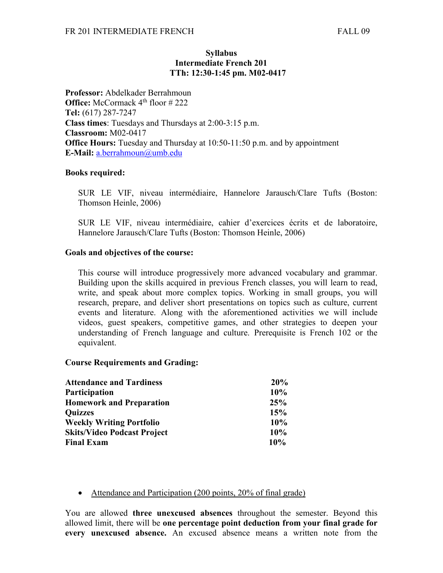## **Syllabus Intermediate French 201 TTh: 12:30-1:45 pm. M02-0417**

**Professor:** Abdelkader Berrahmoun **Office:** McCormack 4<sup>th</sup> floor #222 **Tel:** (617) 287-7247 **Class times**: Tuesdays and Thursdays at 2:00-3:15 p.m. **Classroom:** M02-0417 **Office Hours:** Tuesday and Thursday at 10:50-11:50 p.m. and by appointment **E-Mail:** [a.berrahmoun@umb.edu](mailto:a.berrahmoun@umb.edu)

### **Books required:**

SUR LE VIF, niveau intermédiaire, Hannelore Jarausch/Clare Tufts (Boston: Thomson Heinle, 2006)

SUR LE VIF, niveau intermédiaire, cahier d'exercices écrits et de laboratoire, Hannelore Jarausch/Clare Tufts (Boston: Thomson Heinle, 2006)

## **Goals and objectives of the course:**

This course will introduce progressively more advanced vocabulary and grammar. Building upon the skills acquired in previous French classes, you will learn to read, write, and speak about more complex topics. Working in small groups, you will research, prepare, and deliver short presentations on topics such as culture, current events and literature. Along with the aforementioned activities we will include videos, guest speakers, competitive games, and other strategies to deepen your understanding of French language and culture. Prerequisite is French 102 or the equivalent.

### **Course Requirements and Grading:**

| <b>Attendance and Tardiness</b>    | 20% |
|------------------------------------|-----|
| <b>Participation</b>               | 10% |
| <b>Homework and Preparation</b>    | 25% |
| <b>Ouizzes</b>                     | 15% |
| <b>Weekly Writing Portfolio</b>    | 10% |
| <b>Skits/Video Podcast Project</b> | 10% |
| <b>Final Exam</b>                  | 10% |

### • Attendance and Participation (200 points, 20% of final grade)

You are allowed **three unexcused absences** throughout the semester. Beyond this allowed limit, there will be **one percentage point deduction from your final grade for every unexcused absence.** An excused absence means a written note from the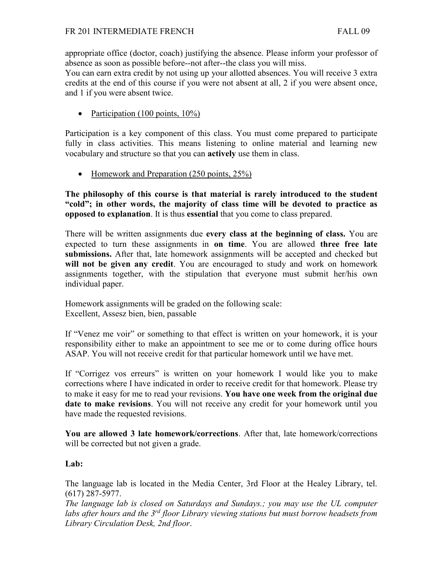appropriate office (doctor, coach) justifying the absence. Please inform your professor of absence as soon as possible before--not after--the class you will miss.

You can earn extra credit by not using up your allotted absences. You will receive 3 extra credits at the end of this course if you were not absent at all, 2 if you were absent once, and 1 if you were absent twice.

• Participation (100 points,  $10\%$ )

Participation is a key component of this class. You must come prepared to participate fully in class activities. This means listening to online material and learning new vocabulary and structure so that you can **actively** use them in class.

• Homework and Preparation (250 points, 25%)

**The philosophy of this course is that material is rarely introduced to the student "cold"; in other words, the majority of class time will be devoted to practice as opposed to explanation**. It is thus **essential** that you come to class prepared.

There will be written assignments due **every class at the beginning of class.** You are expected to turn these assignments in **on time**. You are allowed **three free late submissions.** After that, late homework assignments will be accepted and checked but **will not be given any credit**. You are encouraged to study and work on homework assignments together, with the stipulation that everyone must submit her/his own individual paper.

Homework assignments will be graded on the following scale: Excellent, Assesz bien, bien, passable

If "Venez me voir" or something to that effect is written on your homework, it is your responsibility either to make an appointment to see me or to come during office hours ASAP. You will not receive credit for that particular homework until we have met.

If "Corrigez vos erreurs" is written on your homework I would like you to make corrections where I have indicated in order to receive credit for that homework. Please try to make it easy for me to read your revisions. **You have one week from the original due date to make revisions**. You will not receive any credit for your homework until you have made the requested revisions.

**You are allowed 3 late homework/corrections**. After that, late homework/corrections will be corrected but not given a grade.

# **Lab:**

The language lab is located in the Media Center, 3rd Floor at the Healey Library, tel. (617) 287-5977.

*The language lab is closed on Saturdays and Sundays.; you may use the UL computer labs after hours and the 3rd floor Library viewing stations but must borrow headsets from Library Circulation Desk, 2nd floor*.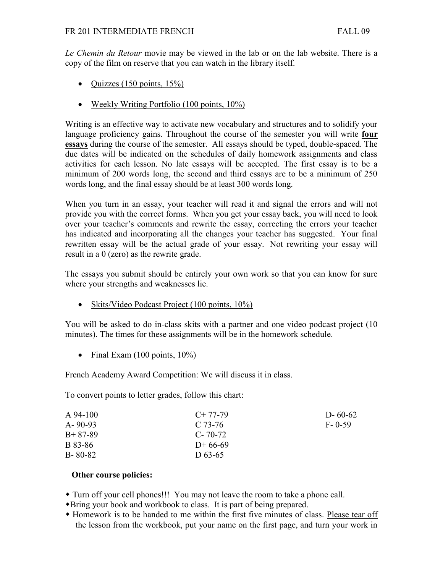*Le Chemin du Retour* movie may be viewed in the lab or on the lab website. There is a copy of the film on reserve that you can watch in the library itself.

- Quizzes (150 points,  $15\%$ )
- Weekly Writing Portfolio (100 points, 10%)

Writing is an effective way to activate new vocabulary and structures and to solidify your language proficiency gains. Throughout the course of the semester you will write **four essays** during the course of the semester. All essays should be typed, double-spaced. The due dates will be indicated on the schedules of daily homework assignments and class activities for each lesson. No late essays will be accepted. The first essay is to be a minimum of 200 words long, the second and third essays are to be a minimum of 250 words long, and the final essay should be at least 300 words long.

When you turn in an essay, your teacher will read it and signal the errors and will not provide you with the correct forms. When you get your essay back, you will need to look over your teacher's comments and rewrite the essay, correcting the errors your teacher has indicated and incorporating all the changes your teacher has suggested. Your final rewritten essay will be the actual grade of your essay. Not rewriting your essay will result in a 0 (zero) as the rewrite grade.

The essays you submit should be entirely your own work so that you can know for sure where your strengths and weaknesses lie.

• Skits/Video Podcast Project (100 points, 10%)

You will be asked to do in-class skits with a partner and one video podcast project (10 minutes). The times for these assignments will be in the homework schedule.

• Final Exam  $(100 \text{ points}, 10\%)$ 

French Academy Award Competition: We will discuss it in class.

To convert points to letter grades, follow this chart:

| A 94-100      | $C+77-79$     | $D - 60 - 62$ |
|---------------|---------------|---------------|
| $A - 90 - 93$ | C 73-76       | $F - 0-59$    |
| $B+87-89$     | $C - 70 - 72$ |               |
| B 83-86       | $D+66-69$     |               |
| $B - 80 - 82$ | D 63-65       |               |

# **Other course policies:**

Turn off your cell phones!!! You may not leave the room to take a phone call.

- Bring your book and workbook to class. It is part of being prepared.
- Homework is to be handed to me within the first five minutes of class. Please tear off the lesson from the workbook, put your name on the first page, and turn your work in